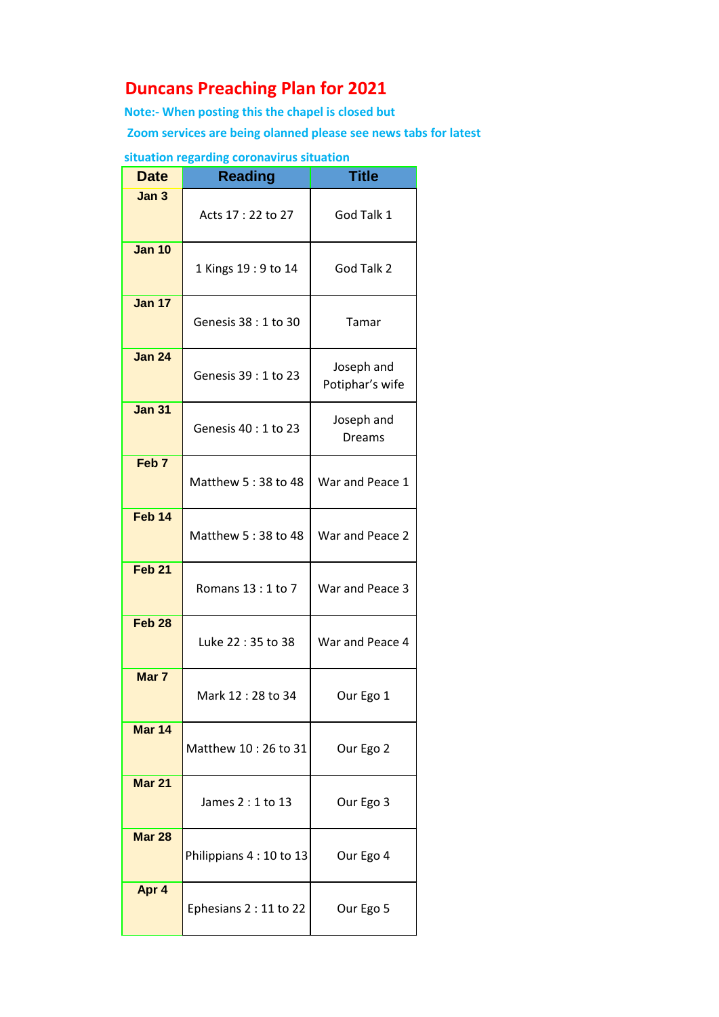## **Duncans Preaching Plan for 2021**

**Note:- When posting this the chapel is closed but**

 **Zoom services are being olanned please see news tabs for latest**

## **situation regarding coronavirus situation**

| <b>Date</b>       | <b>Reading</b>           | <b>Title</b>                  |
|-------------------|--------------------------|-------------------------------|
| Jan 3             | Acts 17:22 to 27         | God Talk 1                    |
| <b>Jan 10</b>     | 1 Kings 19: 9 to 14      | God Talk 2                    |
| <b>Jan 17</b>     | Genesis 38 : 1 to 30     | Tamar                         |
| <b>Jan 24</b>     | Genesis 39 : 1 to 23     | Joseph and<br>Potiphar's wife |
| <b>Jan 31</b>     | Genesis 40 : 1 to 23     | Joseph and<br><b>Dreams</b>   |
| Feb <sub>7</sub>  | Matthew 5:38 to 48       | War and Peace 1               |
| Feb <sub>14</sub> | Matthew 5:38 to 48       | War and Peace 2               |
| Feb <sub>21</sub> | Romans 13:1 to 7         | War and Peace 3               |
| Feb <sub>28</sub> | Luke 22:35 to 38         | War and Peace 4               |
| Mar 7             | Mark 12:28 to 34         | Our Ego 1                     |
| Mar 14            | Matthew 10:26 to 31      | Our Ego 2                     |
| <b>Mar 21</b>     | James $2:1$ to 13        | Our Ego 3                     |
| <b>Mar 28</b>     | Philippians 4 : 10 to 13 | Our Ego 4                     |
| Apr 4             | Ephesians 2 : 11 to 22   | Our Ego 5                     |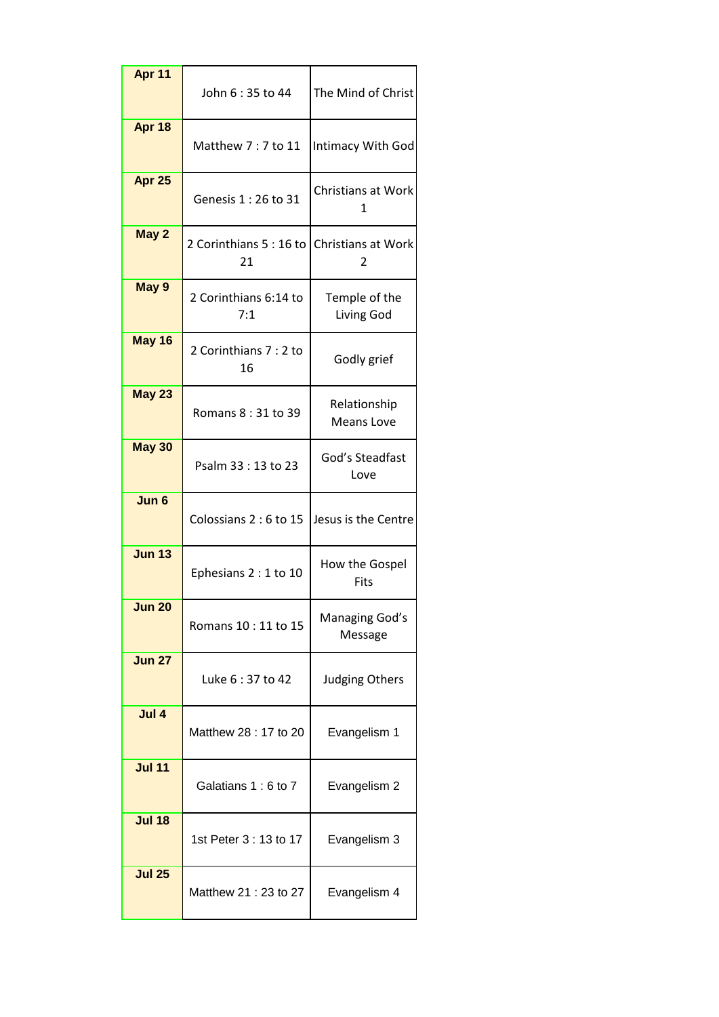| Apr 11        | John 6 : 35 to 44            | The Mind of Christ                |
|---------------|------------------------------|-----------------------------------|
| Apr 18        | Matthew 7: 7 to 11           | Intimacy With God                 |
| Apr 25        | Genesis 1 : 26 to 31         | Christians at Work<br>1           |
| May 2         | 2 Corinthians 5:16 to<br>21  | <b>Christians at Work</b><br>2    |
| May 9         | 2 Corinthians 6:14 to<br>7:1 | Temple of the<br>Living God       |
| May 16        | 2 Corinthians 7 : 2 to<br>16 | Godly grief                       |
| <b>May 23</b> | Romans 8:31 to 39            | Relationship<br><b>Means Love</b> |
| May 30        | Psalm 33:13 to 23            | God's Steadfast<br>Love           |
| Jun 6         | Colossians 2 : 6 to 15       | Jesus is the Centre               |
| <b>Jun 13</b> | Ephesians 2 : 1 to 10        | How the Gospel<br>Fits            |
| Jun 20        | Romans 10 : 11 to 15         | Managing God's<br>Message         |
| <b>Jun 27</b> | Luke 6:37 to 42              | <b>Judging Others</b>             |
| Jul 4         | Matthew 28 : 17 to 20        | Evangelism 1                      |
| <b>Jul 11</b> | Galatians 1:6 to 7           | Evangelism 2                      |
| <b>Jul 18</b> | 1st Peter 3 : 13 to 17       | Evangelism 3                      |
| <b>Jul 25</b> | Matthew 21: 23 to 27         | Evangelism 4                      |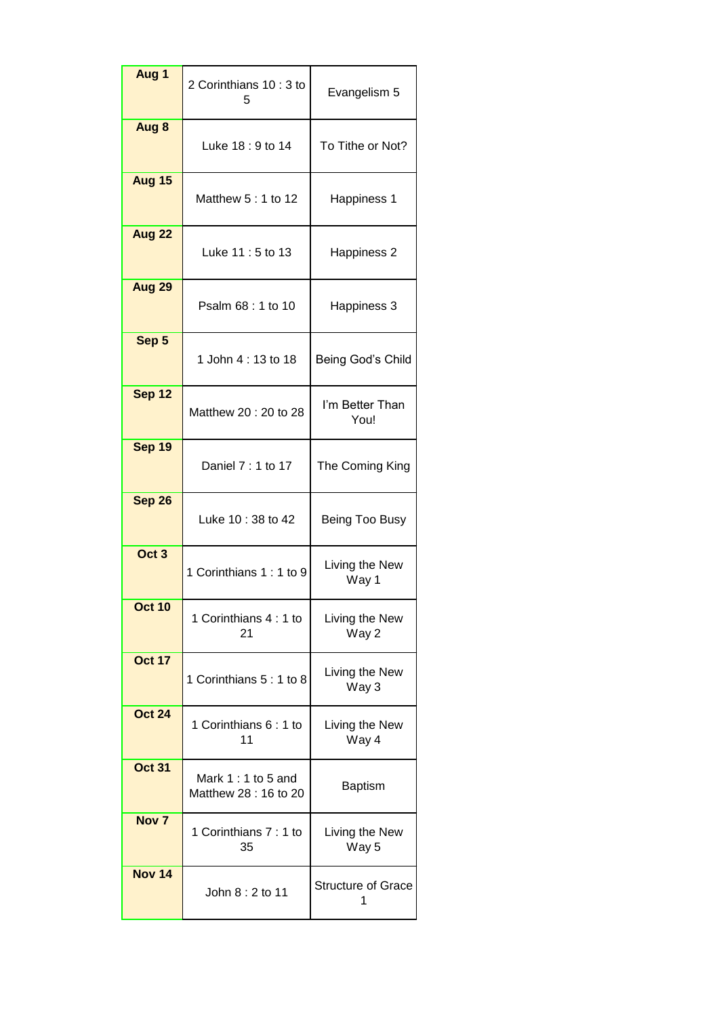| Aug 1            | 2 Corinthians 10:3 to<br>5                  | Evangelism 5              |
|------------------|---------------------------------------------|---------------------------|
| Aug 8            | Luke 18: 9 to 14                            | To Tithe or Not?          |
| <b>Aug 15</b>    | Matthew 5 : 1 to 12                         | Happiness 1               |
| <b>Aug 22</b>    | Luke 11:5 to 13                             | Happiness 2               |
| <b>Aug 29</b>    | Psalm 68 : 1 to 10                          | Happiness 3               |
| Sep 5            | 1 John 4: 13 to 18                          | Being God's Child         |
| <b>Sep 12</b>    | Matthew 20: 20 to 28                        | I'm Better Than<br>You!   |
| Sep 19           | Daniel 7 : 1 to 17                          | The Coming King           |
| <b>Sep 26</b>    | Luke 10:38 to 42                            | Being Too Busy            |
| Oct <sub>3</sub> | 1 Corinthians 1: 1 to 9                     | Living the New<br>Way 1   |
| <b>Oct 10</b>    | 1 Corinthians 4:1 to<br>21                  | Living the New<br>Way 2   |
| <b>Oct 17</b>    | 1 Corinthians 5: 1 to 8                     | Living the New<br>Way 3   |
| <b>Oct 24</b>    | 1 Corinthians 6: 1 to<br>11                 | Living the New<br>Way 4   |
| <b>Oct 31</b>    | Mark $1:1$ to 5 and<br>Matthew 28: 16 to 20 | <b>Baptism</b>            |
| Nov <sub>7</sub> | 1 Corinthians 7: 1 to<br>35                 | Living the New<br>Way 5   |
| <b>Nov 14</b>    | John 8: 2 to 11                             | <b>Structure of Grace</b> |